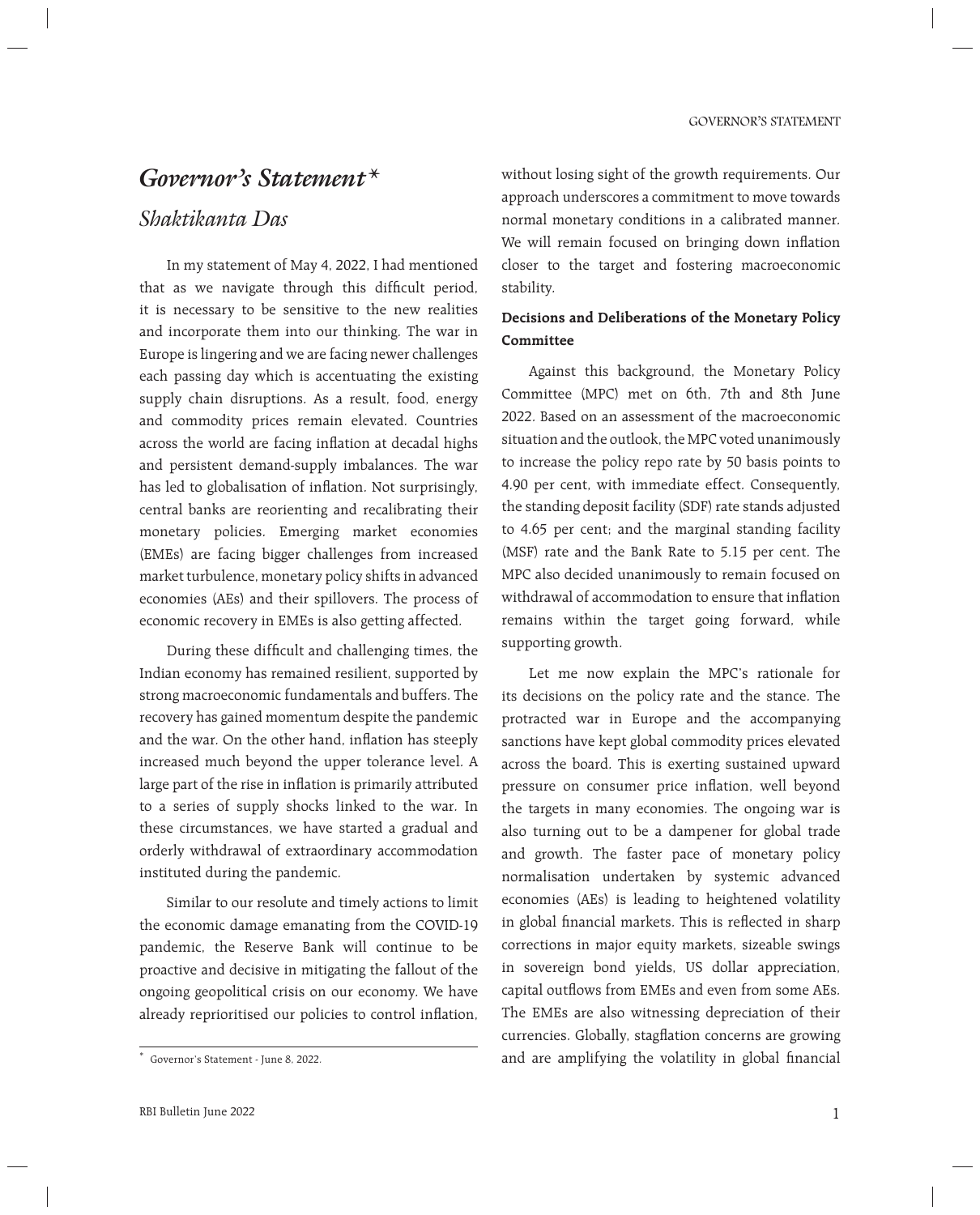# *Governor's Statement\**

## *Shaktikanta Das*

 In my statement of May 4, 2022, I had mentioned that as we navigate through this difficult period, it is necessary to be sensitive to the new realities and incorporate them into our thinking. The war in Europe is lingering and we are facing newer challenges each passing day which is accentuating the existing supply chain disruptions. As a result, food, energy and commodity prices remain elevated. Countries across the world are facing inflation at decadal highs and persistent demand-supply imbalances. The war has led to globalisation of inflation. Not surprisingly, central banks are reorienting and recalibrating their monetary policies. Emerging market economies (EMEs) are facing bigger challenges from increased market turbulence, monetary policy shifts in advanced economies (AEs) and their spillovers. The process of economic recovery in EMEs is also getting affected.

During these difficult and challenging times, the Indian economy has remained resilient, supported by strong macroeconomic fundamentals and buffers. The recovery has gained momentum despite the pandemic and the war. On the other hand, inflation has steeply increased much beyond the upper tolerance level. A large part of the rise in inflation is primarily attributed to a series of supply shocks linked to the war. In these circumstances, we have started a gradual and orderly withdrawal of extraordinary accommodation instituted during the pandemic.

 Similar to our resolute and timely actions to limit the economic damage emanating from the COVID-19 pandemic, the Reserve Bank will continue to be proactive and decisive in mitigating the fallout of the ongoing geopolitical crisis on our economy. We have already reprioritised our policies to control inflation,

without losing sight of the growth requirements. Our approach underscores a commitment to move towards normal monetary conditions in a calibrated manner. We will remain focused on bringing down inflation closer to the target and fostering macroeconomic stability.

## **Decisions and Deliberations of the Monetary Policy Committee**

 Against this background, the Monetary Policy Committee (MPC) met on 6th, 7th and 8th June 2022. Based on an assessment of the macroeconomic situation and the outlook, the MPC voted unanimously to increase the policy repo rate by 50 basis points to 4.90 per cent, with immediate effect. Consequently, the standing deposit facility (SDF) rate stands adjusted to 4.65 per cent; and the marginal standing facility (MSF) rate and the Bank Rate to 5.15 per cent. The MPC also decided unanimously to remain focused on withdrawal of accommodation to ensure that inflation remains within the target going forward, while supporting growth.

 Let me now explain the MPC's rationale for its decisions on the policy rate and the stance. The protracted war in Europe and the accompanying sanctions have kept global commodity prices elevated across the board. This is exerting sustained upward pressure on consumer price inflation, well beyond the targets in many economies. The ongoing war is also turning out to be a dampener for global trade and growth. The faster pace of monetary policy normalisation undertaken by systemic advanced economies (AEs) is leading to heightened volatility in global financial markets. This is reflected in sharp corrections in major equity markets, sizeable swings in sovereign bond yields, US dollar appreciation, capital outflows from EMEs and even from some AEs. The EMEs are also witnessing depreciation of their currencies. Globally, stagflation concerns are growing and are amplifying the volatility in global financial

<sup>\*</sup> Governor's Statement - June 8, 2022.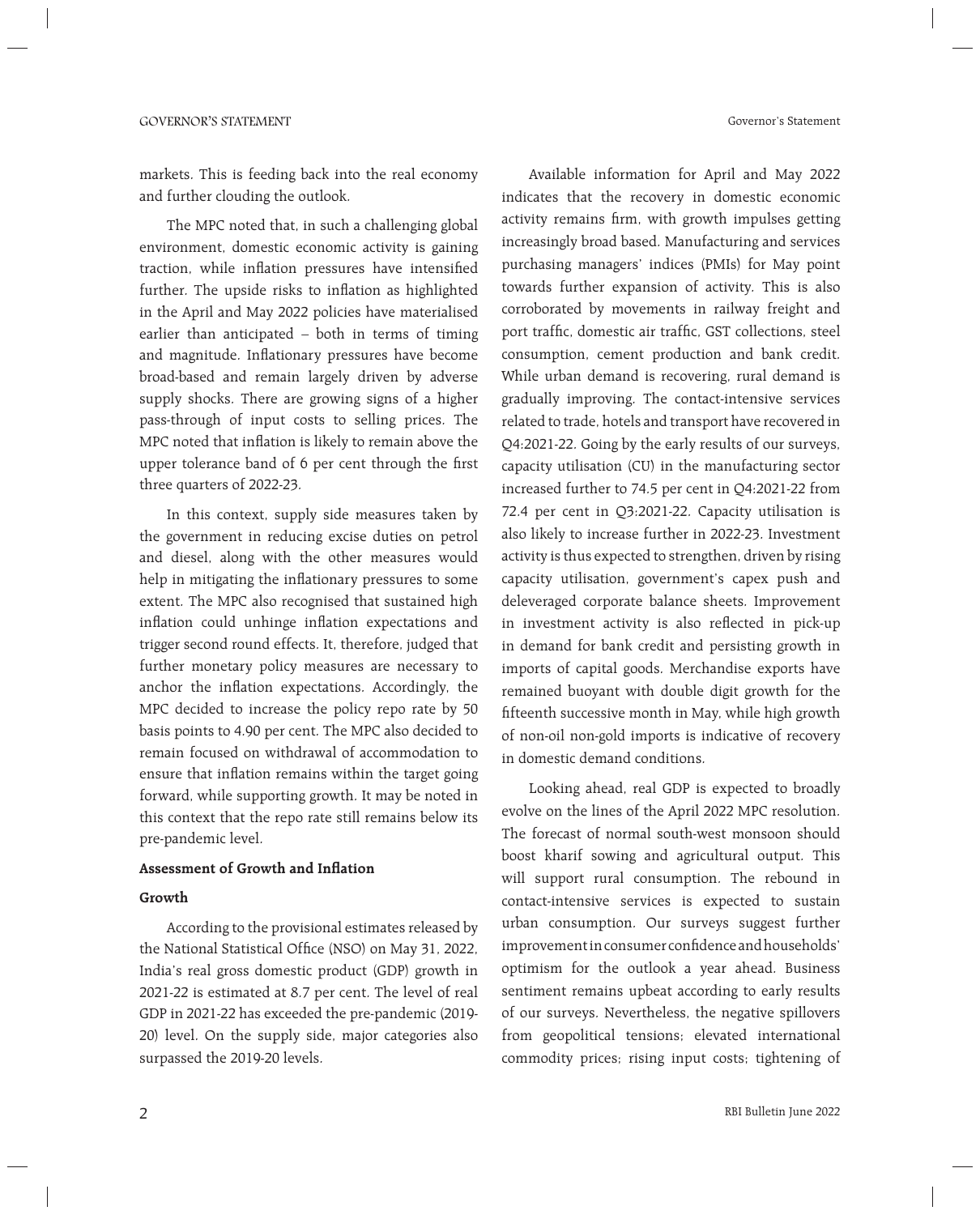Governor's Statement

markets. This is feeding back into the real economy and further clouding the outlook.

 The MPC noted that, in such a challenging global environment, domestic economic activity is gaining traction, while inflation pressures have intensified further. The upside risks to inflation as highlighted in the April and May 2022 policies have materialised earlier than anticipated – both in terms of timing and magnitude. Inflationary pressures have become broad-based and remain largely driven by adverse supply shocks. There are growing signs of a higher pass-through of input costs to selling prices. The MPC noted that inflation is likely to remain above the upper tolerance band of 6 per cent through the first three quarters of 2022-23.

 In this context, supply side measures taken by the government in reducing excise duties on petrol and diesel, along with the other measures would help in mitigating the inflationary pressures to some extent. The MPC also recognised that sustained high inflation could unhinge inflation expectations and trigger second round effects. It, therefore, judged that further monetary policy measures are necessary to anchor the inflation expectations. Accordingly, the MPC decided to increase the policy repo rate by 50 basis points to 4.90 per cent. The MPC also decided to remain focused on withdrawal of accommodation to ensure that inflation remains within the target going forward, while supporting growth. It may be noted in this context that the repo rate still remains below its pre-pandemic level.

#### **Assessment of Growth and Inflation**

#### **Growth**

 According to the provisional estimates released by the National Statistical Office (NSO) on May 31, 2022, India's real gross domestic product (GDP) growth in 2021-22 is estimated at 8.7 per cent. The level of real GDP in 2021-22 has exceeded the pre-pandemic (2019- 20) level. On the supply side, major categories also surpassed the 2019-20 levels.

 Available information for April and May 2022 indicates that the recovery in domestic economic activity remains firm, with growth impulses getting increasingly broad based. Manufacturing and services purchasing managers' indices (PMIs) for May point towards further expansion of activity. This is also corroborated by movements in railway freight and port traffic, domestic air traffic, GST collections, steel consumption, cement production and bank credit. While urban demand is recovering, rural demand is gradually improving. The contact-intensive services related to trade, hotels and transport have recovered in Q4:2021-22. Going by the early results of our surveys, capacity utilisation (CU) in the manufacturing sector increased further to 74.5 per cent in Q4:2021-22 from 72.4 per cent in Q3:2021-22. Capacity utilisation is also likely to increase further in 2022-23. Investment activity is thus expected to strengthen, driven by rising capacity utilisation, government's capex push and deleveraged corporate balance sheets. Improvement in investment activity is also reflected in pick-up in demand for bank credit and persisting growth in imports of capital goods. Merchandise exports have remained buoyant with double digit growth for the fifteenth successive month in May, while high growth of non-oil non-gold imports is indicative of recovery in domestic demand conditions.

 Looking ahead, real GDP is expected to broadly evolve on the lines of the April 2022 MPC resolution. The forecast of normal south-west monsoon should boost kharif sowing and agricultural output. This will support rural consumption. The rebound in contact-intensive services is expected to sustain urban consumption. Our surveys suggest further improvement in consumer confidence and households' optimism for the outlook a year ahead. Business sentiment remains upbeat according to early results of our surveys. Nevertheless, the negative spillovers from geopolitical tensions; elevated international commodity prices; rising input costs; tightening of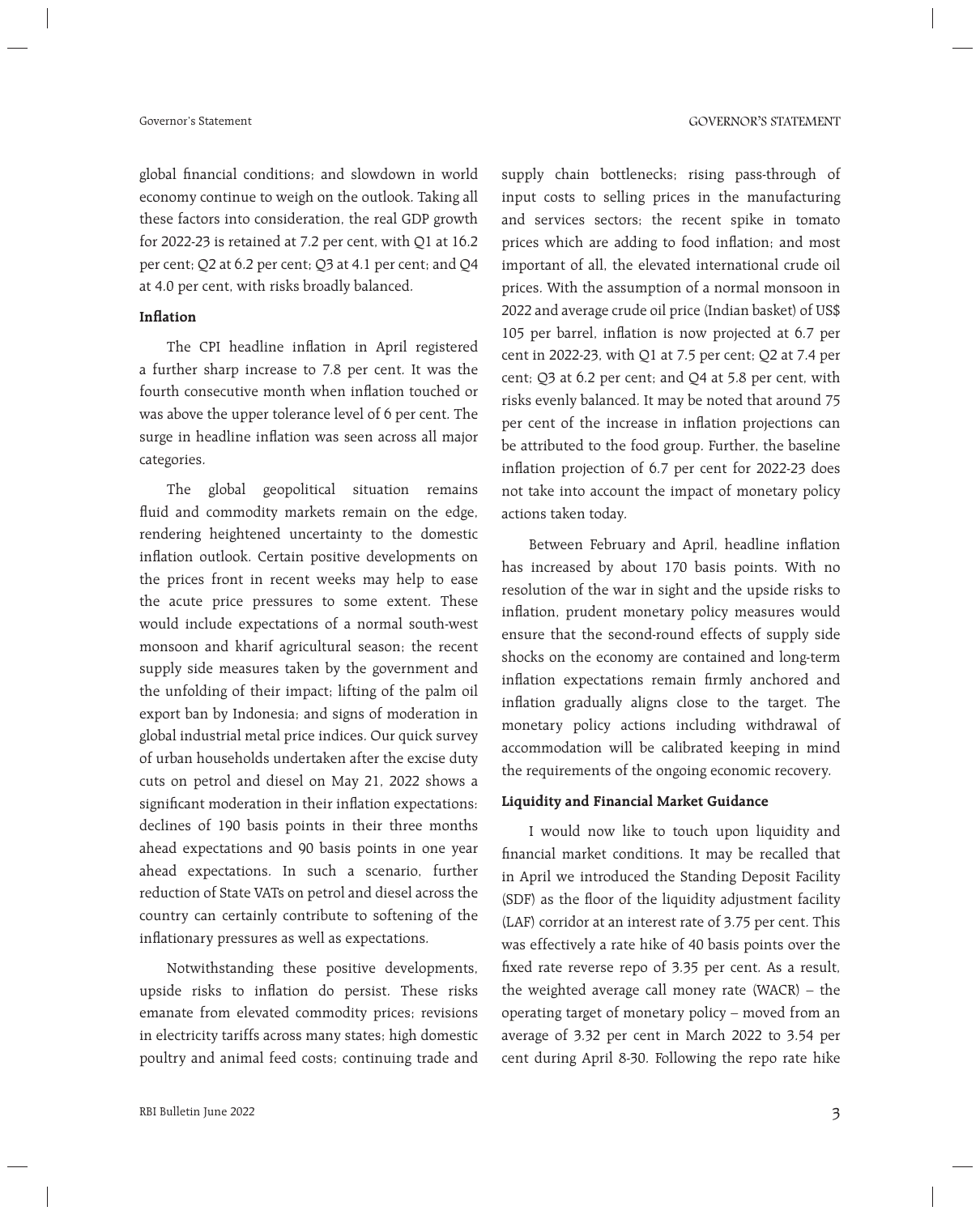global financial conditions; and slowdown in world economy continue to weigh on the outlook. Taking all these factors into consideration, the real GDP growth for 2022-23 is retained at 7.2 per cent, with Q1 at 16.2 per cent; Q2 at 6.2 per cent; Q3 at 4.1 per cent; and Q4 at 4.0 per cent, with risks broadly balanced.

#### **Inflation**

The CPI headline inflation in April registered a further sharp increase to 7.8 per cent. It was the fourth consecutive month when inflation touched or was above the upper tolerance level of 6 per cent. The surge in headline inflation was seen across all major categories.

 The global geopolitical situation remains fluid and commodity markets remain on the edge, rendering heightened uncertainty to the domestic inflation outlook. Certain positive developments on the prices front in recent weeks may help to ease the acute price pressures to some extent. These would include expectations of a normal south-west monsoon and kharif agricultural season; the recent supply side measures taken by the government and the unfolding of their impact; lifting of the palm oil export ban by Indonesia; and signs of moderation in global industrial metal price indices. Our quick survey of urban households undertaken after the excise duty cuts on petrol and diesel on May 21, 2022 shows a significant moderation in their inflation expectations: declines of 190 basis points in their three months ahead expectations and 90 basis points in one year ahead expectations. In such a scenario, further reduction of State VATs on petrol and diesel across the country can certainly contribute to softening of the inflationary pressures as well as expectations.

 Notwithstanding these positive developments, upside risks to inflation do persist. These risks emanate from elevated commodity prices; revisions in electricity tariffs across many states; high domestic poultry and animal feed costs; continuing trade and supply chain bottlenecks; rising pass-through of input costs to selling prices in the manufacturing and services sectors; the recent spike in tomato prices which are adding to food inflation; and most important of all, the elevated international crude oil prices. With the assumption of a normal monsoon in 2022 and average crude oil price (Indian basket) of US\$ 105 per barrel, inflation is now projected at 6.7 per cent in 2022-23, with Q1 at 7.5 per cent; Q2 at 7.4 per cent; Q3 at 6.2 per cent; and Q4 at 5.8 per cent, with risks evenly balanced. It may be noted that around 75 per cent of the increase in inflation projections can be attributed to the food group. Further, the baseline inflation projection of 6.7 per cent for 2022-23 does not take into account the impact of monetary policy actions taken today.

Between February and April, headline inflation has increased by about 170 basis points. With no resolution of the war in sight and the upside risks to inflation, prudent monetary policy measures would ensure that the second-round effects of supply side shocks on the economy are contained and long-term inflation expectations remain firmly anchored and inflation gradually aligns close to the target. The monetary policy actions including withdrawal of accommodation will be calibrated keeping in mind the requirements of the ongoing economic recovery.

#### **Liquidity and Financial Market Guidance**

 I would now like to touch upon liquidity and financial market conditions. It may be recalled that in April we introduced the Standing Deposit Facility (SDF) as the floor of the liquidity adjustment facility (LAF) corridor at an interest rate of 3.75 per cent. This was effectively a rate hike of 40 basis points over the fixed rate reverse repo of 3.35 per cent. As a result, the weighted average call money rate (WACR) – the operating target of monetary policy – moved from an average of 3.32 per cent in March 2022 to 3.54 per cent during April 8-30. Following the repo rate hike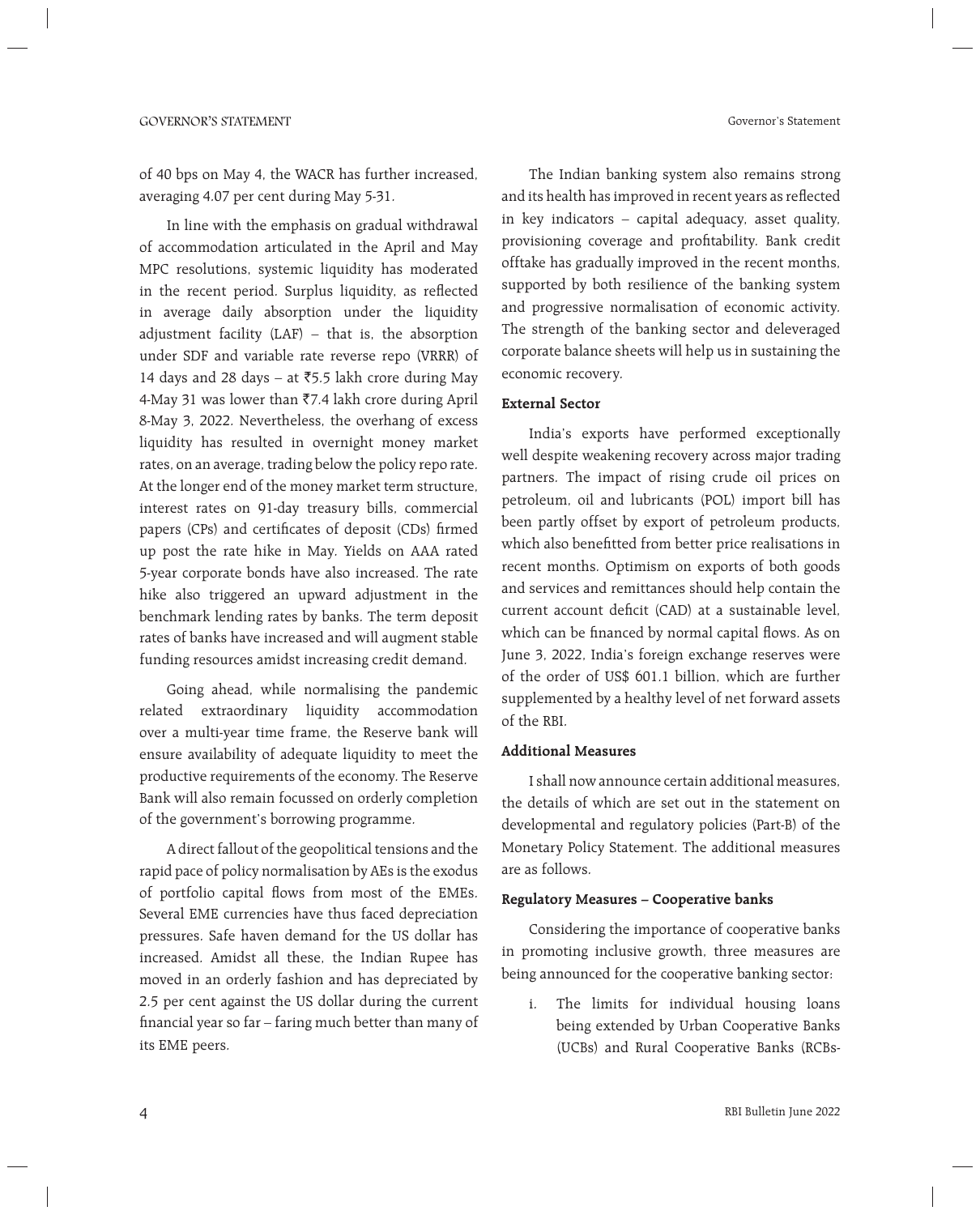Governor's Statement

of 40 bps on May 4, the WACR has further increased, averaging 4.07 per cent during May 5-31.

 In line with the emphasis on gradual withdrawal of accommodation articulated in the April and May MPC resolutions, systemic liquidity has moderated in the recent period. Surplus liquidity, as reflected in average daily absorption under the liquidity adjustment facility (LAF) – that is, the absorption under SDF and variable rate reverse repo (VRRR) of 14 days and 28 days – at  $\overline{55.5}$  lakh crore during May 4-May 31 was lower than  $\overline{57.4}$  lakh crore during April 8-May 3, 2022. Nevertheless, the overhang of excess liquidity has resulted in overnight money market rates, on an average, trading below the policy repo rate. At the longer end of the money market term structure, interest rates on 91-day treasury bills, commercial papers (CPs) and certificates of deposit (CDs) firmed up post the rate hike in May. Yields on AAA rated 5-year corporate bonds have also increased. The rate hike also triggered an upward adjustment in the benchmark lending rates by banks. The term deposit rates of banks have increased and will augment stable funding resources amidst increasing credit demand.

 Going ahead, while normalising the pandemic related extraordinary liquidity accommodation over a multi-year time frame, the Reserve bank will ensure availability of adequate liquidity to meet the productive requirements of the economy. The Reserve Bank will also remain focussed on orderly completion of the government's borrowing programme.

 A direct fallout of the geopolitical tensions and the rapid pace of policy normalisation by AEs is the exodus of portfolio capital flows from most of the EMEs. Several EME currencies have thus faced depreciation pressures. Safe haven demand for the US dollar has increased. Amidst all these, the Indian Rupee has moved in an orderly fashion and has depreciated by 2.5 per cent against the US dollar during the current financial year so far - faring much better than many of its EME peers.

 The Indian banking system also remains strong and its health has improved in recent years as reflected in key indicators – capital adequacy, asset quality, provisioning coverage and profitability. Bank credit offtake has gradually improved in the recent months, supported by both resilience of the banking system and progressive normalisation of economic activity. The strength of the banking sector and deleveraged corporate balance sheets will help us in sustaining the economic recovery.

#### **External Sector**

 India's exports have performed exceptionally well despite weakening recovery across major trading partners. The impact of rising crude oil prices on petroleum, oil and lubricants (POL) import bill has been partly offset by export of petroleum products, which also benefitted from better price realisations in recent months. Optimism on exports of both goods and services and remittances should help contain the current account deficit (CAD) at a sustainable level, which can be financed by normal capital flows. As on June 3, 2022, India's foreign exchange reserves were of the order of US\$ 601.1 billion, which are further supplemented by a healthy level of net forward assets of the RBI.

#### **Additional Measures**

 I shall now announce certain additional measures, the details of which are set out in the statement on developmental and regulatory policies (Part-B) of the Monetary Policy Statement. The additional measures are as follows.

#### **Regulatory Measures – Cooperative banks**

 Considering the importance of cooperative banks in promoting inclusive growth, three measures are being announced for the cooperative banking sector:

i. The limits for individual housing loans being extended by Urban Cooperative Banks (UCBs) and Rural Cooperative Banks (RCBs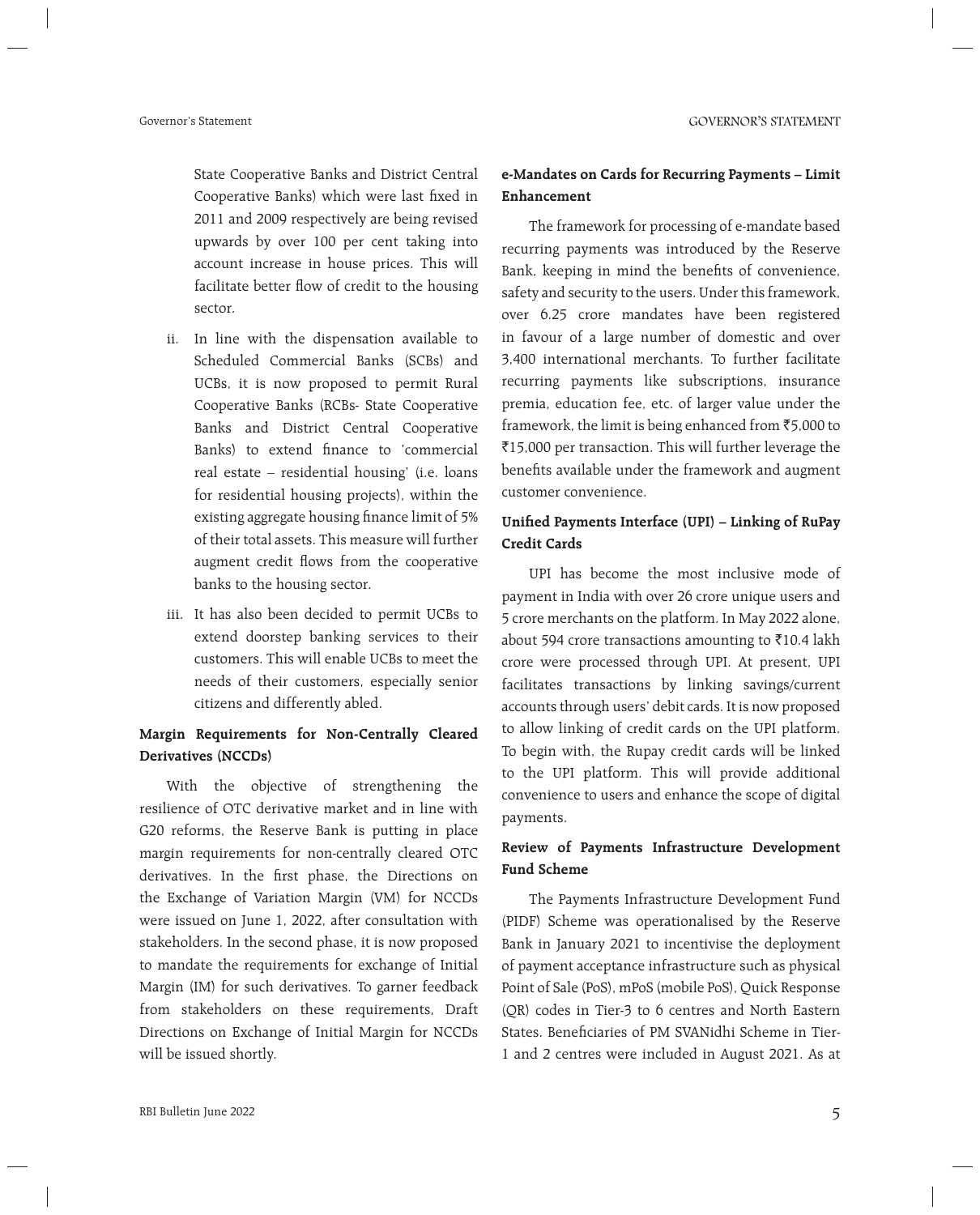State Cooperative Banks and District Central Cooperative Banks) which were last fixed in 2011 and 2009 respectively are being revised upwards by over 100 per cent taking into account increase in house prices. This will facilitate better flow of credit to the housing sector.

- ii. In line with the dispensation available to Scheduled Commercial Banks (SCBs) and UCBs, it is now proposed to permit Rural Cooperative Banks (RCBs- State Cooperative Banks and District Central Cooperative Banks) to extend finance to 'commercial real estate – residential housing' (i.e. loans for residential housing projects), within the existing aggregate housing finance limit of 5% of their total assets. This measure will further augment credit flows from the cooperative banks to the housing sector.
- iii. It has also been decided to permit UCBs to extend doorstep banking services to their customers. This will enable UCBs to meet the needs of their customers, especially senior citizens and differently abled.

## **Margin Requirements for Non-Centrally Cleared Derivatives (NCCDs)**

 With the objective of strengthening the resilience of OTC derivative market and in line with G20 reforms, the Reserve Bank is putting in place margin requirements for non-centrally cleared OTC derivatives. In the first phase, the Directions on the Exchange of Variation Margin (VM) for NCCDs were issued on June 1, 2022, after consultation with stakeholders. In the second phase, it is now proposed to mandate the requirements for exchange of Initial Margin (IM) for such derivatives. To garner feedback from stakeholders on these requirements, Draft Directions on Exchange of Initial Margin for NCCDs will be issued shortly.

## **e-Mandates on Cards for Recurring Payments – Limit Enhancement**

 The framework for processing of e-mandate based recurring payments was introduced by the Reserve Bank, keeping in mind the benefits of convenience, safety and security to the users. Under this framework, over 6.25 crore mandates have been registered in favour of a large number of domestic and over 3,400 international merchants. To further facilitate recurring payments like subscriptions, insurance premia, education fee, etc. of larger value under the framework, the limit is being enhanced from  $\overline{5}5,000$  to `15,000 per transaction. This will further leverage the benefits available under the framework and augment customer convenience.

## Unified Payments Interface (UPI) - Linking of RuPay **Credit Cards**

 UPI has become the most inclusive mode of payment in India with over 26 crore unique users and 5 crore merchants on the platform. In May 2022 alone, about 594 crore transactions amounting to  $\bar{x}$ 10.4 lakh crore were processed through UPI. At present, UPI facilitates transactions by linking savings/current accounts through users' debit cards. It is now proposed to allow linking of credit cards on the UPI platform. To begin with, the Rupay credit cards will be linked to the UPI platform. This will provide additional convenience to users and enhance the scope of digital payments.

## **Review of Payments Infrastructure Development Fund Scheme**

 The Payments Infrastructure Development Fund (PIDF) Scheme was operationalised by the Reserve Bank in January 2021 to incentivise the deployment of payment acceptance infrastructure such as physical Point of Sale (PoS), mPoS (mobile PoS), Quick Response (QR) codes in Tier-3 to 6 centres and North Eastern States. Beneficiaries of PM SVANidhi Scheme in Tier-1 and 2 centres were included in August 2021. As at